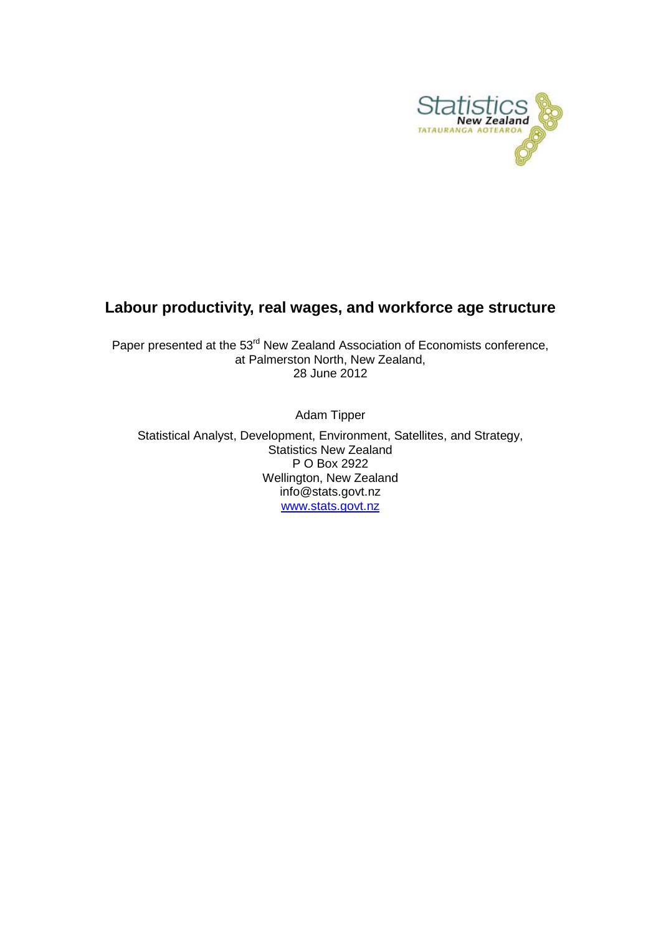

## **Labour productivity, real wages, and workforce age structure**

Paper presented at the 53<sup>rd</sup> New Zealand Association of Economists conference, at Palmerston North, New Zealand, 28 June 2012

Adam Tipper

Statistical Analyst, Development, Environment, Satellites, and Strategy, Statistics New Zealand P O Box 2922 Wellington, New Zealand info@stats.govt.nz [www.stats.govt.nz](http://www.stats.govt.nz/)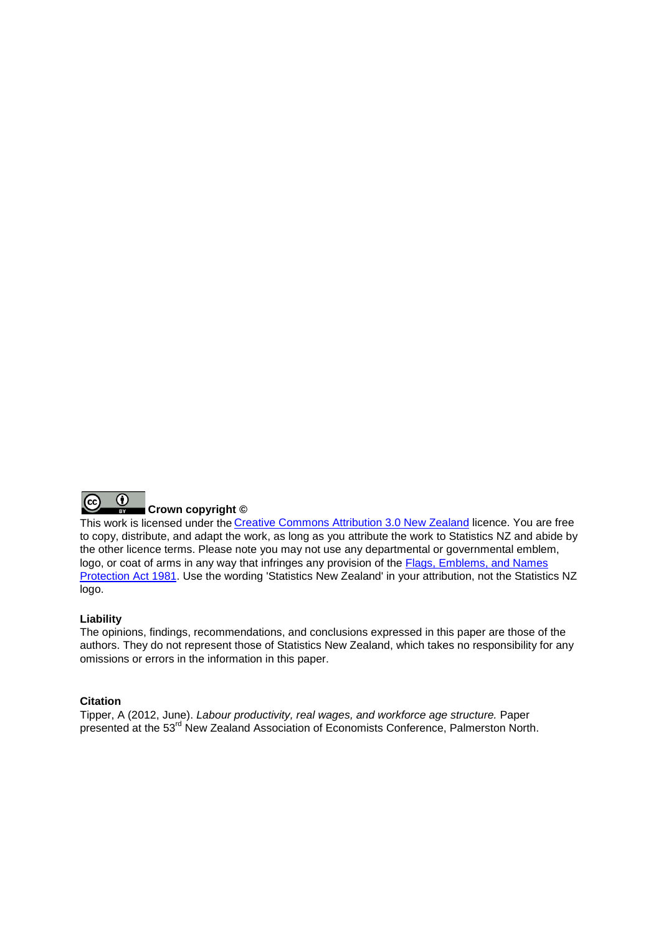

This work is licensed under the [Creative Commons Attribution 3.0 New Zealand](http://creativecommons.org/licenses/by/3.0/nz/deed.en) licence. You are free to copy, distribute, and adapt the work, as long as you attribute the work to Statistics NZ and abide by the other licence terms. Please note you may not use any departmental or governmental emblem, logo, or coat of arms in any way that infringes any provision of the [Flags, Emblems, and Names](http://www.legislation.govt.nz/act/public/1981/0047/latest/DLM51358.html)  [Protection Act 1981.](http://www.legislation.govt.nz/act/public/1981/0047/latest/DLM51358.html) Use the wording 'Statistics New Zealand' in your attribution, not the Statistics NZ logo.

#### **Liability**

The opinions, findings, recommendations, and conclusions expressed in this paper are those of the authors. They do not represent those of Statistics New Zealand, which takes no responsibility for any omissions or errors in the information in this paper.

#### **Citation**

Tipper, A (2012, June). *Labour productivity, real wages, and workforce age structure.* Paper presented at the 53<sup>rd</sup> New Zealand Association of Economists Conference, Palmerston North.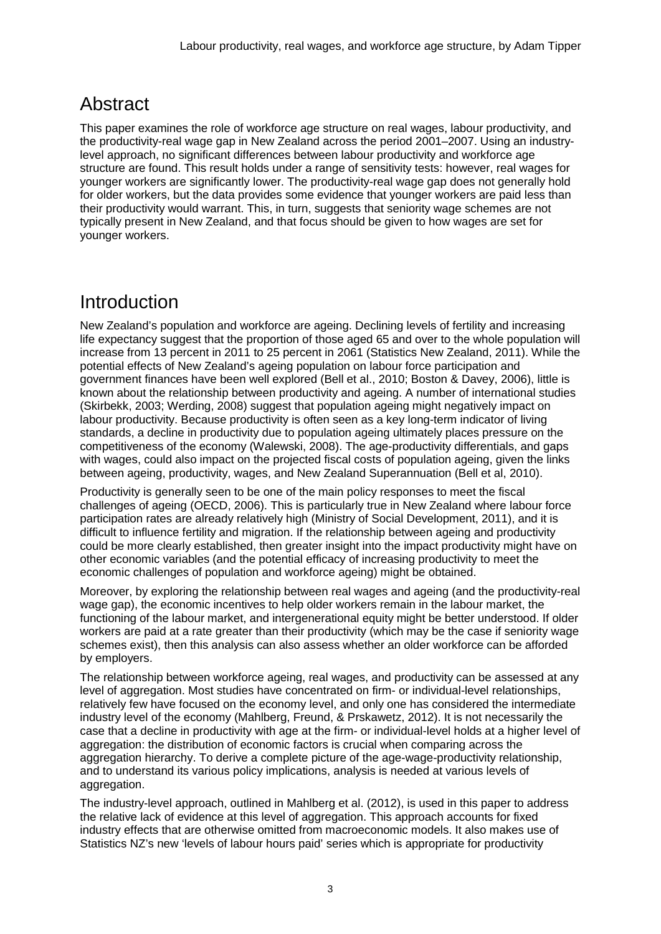# Abstract

This paper examines the role of workforce age structure on real wages, labour productivity, and the productivity-real wage gap in New Zealand across the period 2001–2007. Using an industrylevel approach, no significant differences between labour productivity and workforce age structure are found. This result holds under a range of sensitivity tests: however, real wages for younger workers are significantly lower. The productivity-real wage gap does not generally hold for older workers, but the data provides some evidence that younger workers are paid less than their productivity would warrant. This, in turn, suggests that seniority wage schemes are not typically present in New Zealand, and that focus should be given to how wages are set for younger workers.

# Introduction

New Zealand's population and workforce are ageing. Declining levels of fertility and increasing life expectancy suggest that the proportion of those aged 65 and over to the whole population will increase from 13 percent in 2011 to 25 percent in 2061 (Statistics New Zealand, 2011). While the potential effects of New Zealand's ageing population on labour force participation and government finances have been well explored (Bell et al., 2010; Boston & Davey, 2006), little is known about the relationship between productivity and ageing. A number of international studies (Skirbekk, 2003; Werding, 2008) suggest that population ageing might negatively impact on labour productivity. Because productivity is often seen as a key long-term indicator of living standards, a decline in productivity due to population ageing ultimately places pressure on the competitiveness of the economy (Walewski, 2008). The age-productivity differentials, and gaps with wages, could also impact on the projected fiscal costs of population ageing, given the links between ageing, productivity, wages, and New Zealand Superannuation (Bell et al, 2010).

Productivity is generally seen to be one of the main policy responses to meet the fiscal challenges of ageing (OECD, 2006). This is particularly true in New Zealand where labour force participation rates are already relatively high (Ministry of Social Development, 2011), and it is difficult to influence fertility and migration. If the relationship between ageing and productivity could be more clearly established, then greater insight into the impact productivity might have on other economic variables (and the potential efficacy of increasing productivity to meet the economic challenges of population and workforce ageing) might be obtained.

Moreover, by exploring the relationship between real wages and ageing (and the productivity-real wage gap), the economic incentives to help older workers remain in the labour market, the functioning of the labour market, and intergenerational equity might be better understood. If older workers are paid at a rate greater than their productivity (which may be the case if seniority wage schemes exist), then this analysis can also assess whether an older workforce can be afforded by employers.

The relationship between workforce ageing, real wages, and productivity can be assessed at any level of aggregation. Most studies have concentrated on firm- or individual-level relationships, relatively few have focused on the economy level, and only one has considered the intermediate industry level of the economy (Mahlberg, Freund, & Prskawetz, 2012). It is not necessarily the case that a decline in productivity with age at the firm- or individual-level holds at a higher level of aggregation: the distribution of economic factors is crucial when comparing across the aggregation hierarchy. To derive a complete picture of the age-wage-productivity relationship, and to understand its various policy implications, analysis is needed at various levels of aggregation.

The industry-level approach, outlined in Mahlberg et al. (2012), is used in this paper to address the relative lack of evidence at this level of aggregation. This approach accounts for fixed industry effects that are otherwise omitted from macroeconomic models. It also makes use of Statistics NZ's new 'levels of labour hours paid' series which is appropriate for productivity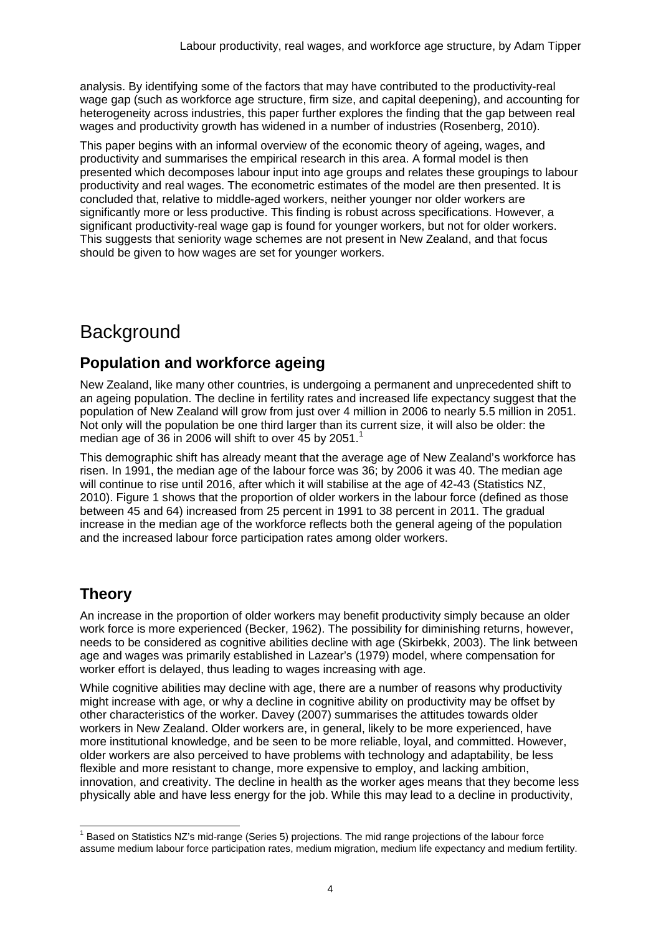analysis. By identifying some of the factors that may have contributed to the productivity-real wage gap (such as workforce age structure, firm size, and capital deepening), and accounting for heterogeneity across industries, this paper further explores the finding that the gap between real wages and productivity growth has widened in a number of industries (Rosenberg, 2010).

This paper begins with an informal overview of the economic theory of ageing, wages, and productivity and summarises the empirical research in this area. A formal model is then presented which decomposes labour input into age groups and relates these groupings to labour productivity and real wages. The econometric estimates of the model are then presented. It is concluded that, relative to middle-aged workers, neither younger nor older workers are significantly more or less productive. This finding is robust across specifications. However, a significant productivity-real wage gap is found for younger workers, but not for older workers. This suggests that seniority wage schemes are not present in New Zealand, and that focus should be given to how wages are set for younger workers.

# **Background**

## **Population and workforce ageing**

New Zealand, like many other countries, is undergoing a permanent and unprecedented shift to an ageing population. The decline in fertility rates and increased life expectancy suggest that the population of New Zealand will grow from just over 4 million in 2006 to nearly 5.5 million in 2051. Not only will the population be one third larger than its current size, it will also be older: the median age of 36 in 2006 will shift to over 45 by 205[1](#page-3-0).<sup>1</sup>

This demographic shift has already meant that the average age of New Zealand's workforce has risen. In 1991, the median age of the labour force was 36; by 2006 it was 40. The median age will continue to rise until 2016, after which it will stabilise at the age of 42-43 (Statistics NZ, 2010). Figure 1 shows that the proportion of older workers in the labour force (defined as those between 45 and 64) increased from 25 percent in 1991 to 38 percent in 2011. The gradual increase in the median age of the workforce reflects both the general ageing of the population and the increased labour force participation rates among older workers.

### **Theory**

An increase in the proportion of older workers may benefit productivity simply because an older work force is more experienced (Becker, 1962). The possibility for diminishing returns, however, needs to be considered as cognitive abilities decline with age (Skirbekk, 2003). The link between age and wages was primarily established in Lazear's (1979) model, where compensation for worker effort is delayed, thus leading to wages increasing with age.

While cognitive abilities may decline with age, there are a number of reasons why productivity might increase with age, or why a decline in cognitive ability on productivity may be offset by other characteristics of the worker. Davey (2007) summarises the attitudes towards older workers in New Zealand. Older workers are, in general, likely to be more experienced, have more institutional knowledge, and be seen to be more reliable, loyal, and committed. However, older workers are also perceived to have problems with technology and adaptability, be less flexible and more resistant to change, more expensive to employ, and lacking ambition, innovation, and creativity. The decline in health as the worker ages means that they become less physically able and have less energy for the job. While this may lead to a decline in productivity,

<span id="page-3-0"></span> $1$  Based on Statistics NZ's mid-range (Series 5) projections. The mid range projections of the labour force assume medium labour force participation rates, medium migration, medium life expectancy and medium fertility.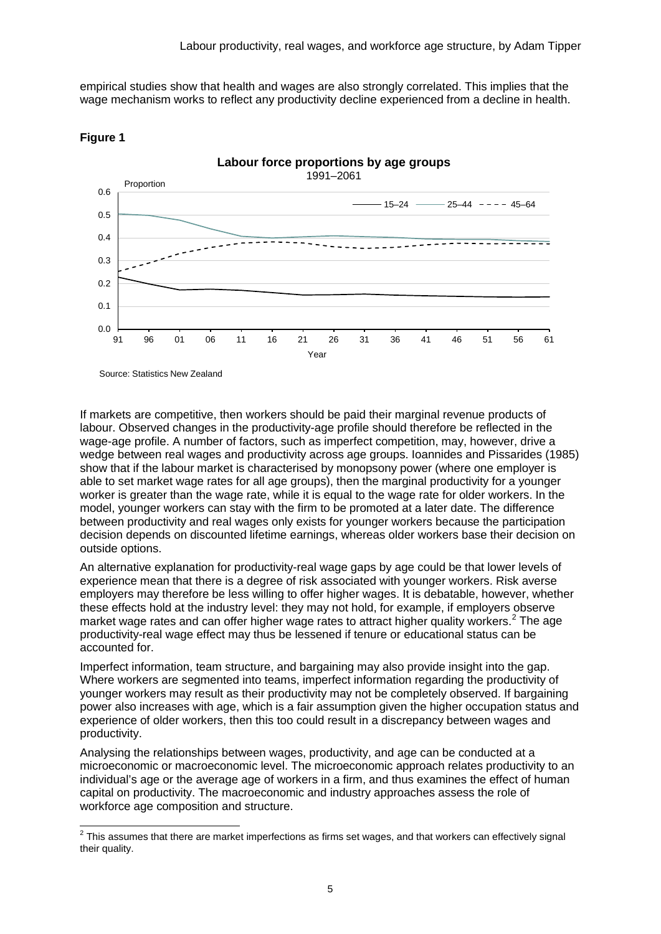empirical studies show that health and wages are also strongly correlated. This implies that the wage mechanism works to reflect any productivity decline experienced from a decline in health.





Source: Statistics New Zealand

If markets are competitive, then workers should be paid their marginal revenue products of labour. Observed changes in the productivity-age profile should therefore be reflected in the wage-age profile. A number of factors, such as imperfect competition, may, however, drive a wedge between real wages and productivity across age groups. Ioannides and Pissarides (1985) show that if the labour market is characterised by monopsony power (where one employer is able to set market wage rates for all age groups), then the marginal productivity for a younger worker is greater than the wage rate, while it is equal to the wage rate for older workers. In the model, younger workers can stay with the firm to be promoted at a later date. The difference between productivity and real wages only exists for younger workers because the participation decision depends on discounted lifetime earnings, whereas older workers base their decision on outside options.

An alternative explanation for productivity-real wage gaps by age could be that lower levels of experience mean that there is a degree of risk associated with younger workers. Risk averse employers may therefore be less willing to offer higher wages. It is debatable, however, whether these effects hold at the industry level: they may not hold, for example, if employers observe market wage rates and can offer higher wage rates to attract higher quality workers.<sup>[2](#page-4-0)</sup> The age productivity-real wage effect may thus be lessened if tenure or educational status can be accounted for.

Imperfect information, team structure, and bargaining may also provide insight into the gap. Where workers are segmented into teams, imperfect information regarding the productivity of younger workers may result as their productivity may not be completely observed. If bargaining power also increases with age, which is a fair assumption given the higher occupation status and experience of older workers, then this too could result in a discrepancy between wages and productivity.

Analysing the relationships between wages, productivity, and age can be conducted at a microeconomic or macroeconomic level. The microeconomic approach relates productivity to an individual's age or the average age of workers in a firm, and thus examines the effect of human capital on productivity. The macroeconomic and industry approaches assess the role of workforce age composition and structure.

<span id="page-4-0"></span> $2$  This assumes that there are market imperfections as firms set wages, and that workers can effectively signal their quality.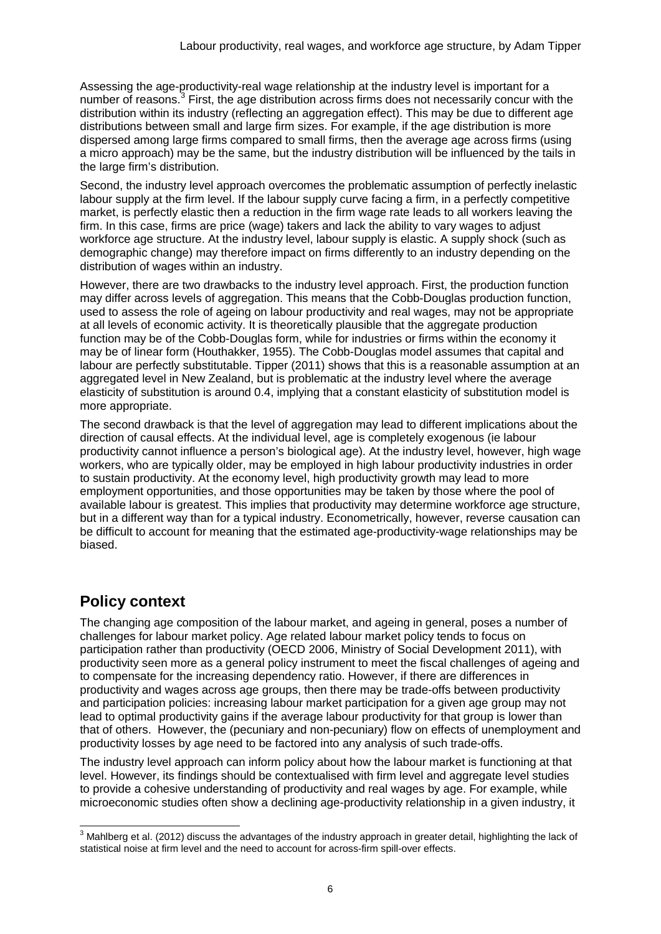Assessing the age-productivity-real wage relationship at the industry level is important for a number of reasons.<sup>[3](#page-5-0)</sup> First, the age distribution across firms does not necessarily concur with the distribution within its industry (reflecting an aggregation effect). This may be due to different age distributions between small and large firm sizes. For example, if the age distribution is more dispersed among large firms compared to small firms, then the average age across firms (using a micro approach) may be the same, but the industry distribution will be influenced by the tails in the large firm's distribution.

Second, the industry level approach overcomes the problematic assumption of perfectly inelastic labour supply at the firm level. If the labour supply curve facing a firm, in a perfectly competitive market, is perfectly elastic then a reduction in the firm wage rate leads to all workers leaving the firm. In this case, firms are price (wage) takers and lack the ability to vary wages to adjust workforce age structure. At the industry level, labour supply is elastic. A supply shock (such as demographic change) may therefore impact on firms differently to an industry depending on the distribution of wages within an industry.

However, there are two drawbacks to the industry level approach. First, the production function may differ across levels of aggregation. This means that the Cobb-Douglas production function, used to assess the role of ageing on labour productivity and real wages, may not be appropriate at all levels of economic activity. It is theoretically plausible that the aggregate production function may be of the Cobb-Douglas form, while for industries or firms within the economy it may be of linear form (Houthakker, 1955). The Cobb-Douglas model assumes that capital and labour are perfectly substitutable. Tipper (2011) shows that this is a reasonable assumption at an aggregated level in New Zealand, but is problematic at the industry level where the average elasticity of substitution is around 0.4, implying that a constant elasticity of substitution model is more appropriate.

The second drawback is that the level of aggregation may lead to different implications about the direction of causal effects. At the individual level, age is completely exogenous (ie labour productivity cannot influence a person's biological age). At the industry level, however, high wage workers, who are typically older, may be employed in high labour productivity industries in order to sustain productivity. At the economy level, high productivity growth may lead to more employment opportunities, and those opportunities may be taken by those where the pool of available labour is greatest. This implies that productivity may determine workforce age structure, but in a different way than for a typical industry. Econometrically, however, reverse causation can be difficult to account for meaning that the estimated age-productivity-wage relationships may be biased.

## **Policy context**

The changing age composition of the labour market, and ageing in general, poses a number of challenges for labour market policy. Age related labour market policy tends to focus on participation rather than productivity (OECD 2006, Ministry of Social Development 2011), with productivity seen more as a general policy instrument to meet the fiscal challenges of ageing and to compensate for the increasing dependency ratio. However, if there are differences in productivity and wages across age groups, then there may be trade-offs between productivity and participation policies: increasing labour market participation for a given age group may not lead to optimal productivity gains if the average labour productivity for that group is lower than that of others. However, the (pecuniary and non-pecuniary) flow on effects of unemployment and productivity losses by age need to be factored into any analysis of such trade-offs.

The industry level approach can inform policy about how the labour market is functioning at that level. However, its findings should be contextualised with firm level and aggregate level studies to provide a cohesive understanding of productivity and real wages by age. For example, while microeconomic studies often show a declining age-productivity relationship in a given industry, it

<span id="page-5-0"></span> $3$  Mahlberg et al. (2012) discuss the advantages of the industry approach in greater detail, highlighting the lack of statistical noise at firm level and the need to account for across-firm spill-over effects.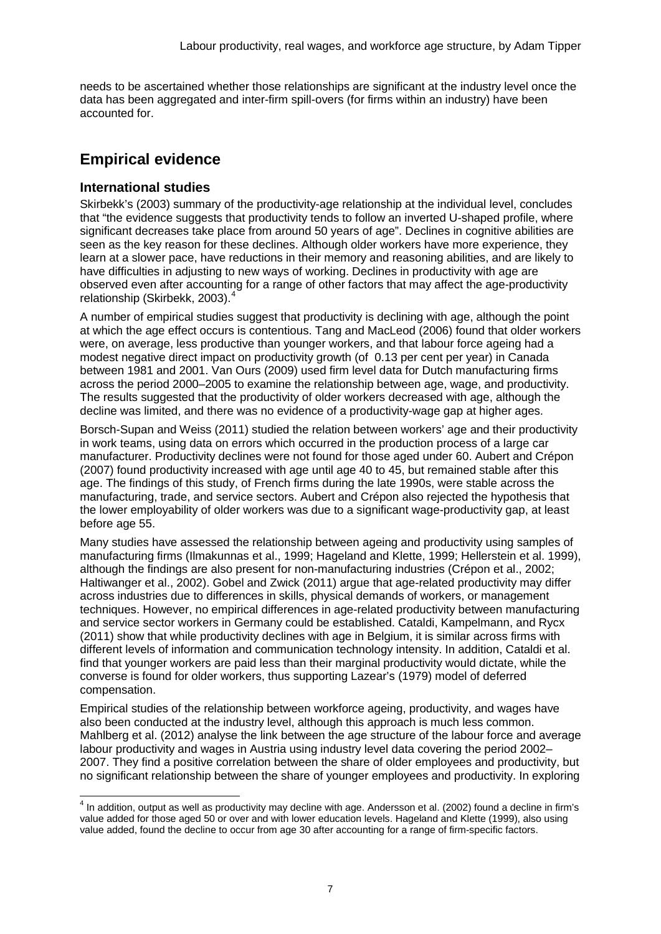needs to be ascertained whether those relationships are significant at the industry level once the data has been aggregated and inter-firm spill-overs (for firms within an industry) have been accounted for.

## **Empirical evidence**

### **International studies**

Skirbekk's (2003) summary of the productivity-age relationship at the individual level, concludes that "the evidence suggests that productivity tends to follow an inverted U-shaped profile, where significant decreases take place from around 50 years of age". Declines in cognitive abilities are seen as the key reason for these declines. Although older workers have more experience, they learn at a slower pace, have reductions in their memory and reasoning abilities, and are likely to have difficulties in adjusting to new ways of working. Declines in productivity with age are observed even after accounting for a range of other factors that may affect the age-productivity relationship (Skirbekk, 2003). [4](#page-6-0)

A number of empirical studies suggest that productivity is declining with age, although the point at which the age effect occurs is contentious. Tang and MacLeod (2006) found that older workers were, on average, less productive than younger workers, and that labour force ageing had a modest negative direct impact on productivity growth (of 0.13 per cent per year) in Canada between 1981 and 2001. Van Ours (2009) used firm level data for Dutch manufacturing firms across the period 2000–2005 to examine the relationship between age, wage, and productivity. The results suggested that the productivity of older workers decreased with age, although the decline was limited, and there was no evidence of a productivity-wage gap at higher ages.

Borsch-Supan and Weiss (2011) studied the relation between workers' age and their productivity in work teams, using data on errors which occurred in the production process of a large car manufacturer. Productivity declines were not found for those aged under 60. Aubert and Crépon (2007) found productivity increased with age until age 40 to 45, but remained stable after this age. The findings of this study, of French firms during the late 1990s, were stable across the manufacturing, trade, and service sectors. Aubert and Crépon also rejected the hypothesis that the lower employability of older workers was due to a significant wage-productivity gap, at least before age 55.

Many studies have assessed the relationship between ageing and productivity using samples of manufacturing firms (Ilmakunnas et al., 1999; Hageland and Klette, 1999; Hellerstein et al. 1999), although the findings are also present for non-manufacturing industries (Crépon et al., 2002; Haltiwanger et al., 2002). Gobel and Zwick (2011) argue that age-related productivity may differ across industries due to differences in skills, physical demands of workers, or management techniques. However, no empirical differences in age-related productivity between manufacturing and service sector workers in Germany could be established. Cataldi, Kampelmann, and Rycx (2011) show that while productivity declines with age in Belgium, it is similar across firms with different levels of information and communication technology intensity. In addition, Cataldi et al. find that younger workers are paid less than their marginal productivity would dictate, while the converse is found for older workers, thus supporting Lazear's (1979) model of deferred compensation.

Empirical studies of the relationship between workforce ageing, productivity, and wages have also been conducted at the industry level, although this approach is much less common. Mahlberg et al. (2012) analyse the link between the age structure of the labour force and average labour productivity and wages in Austria using industry level data covering the period 2002– 2007. They find a positive correlation between the share of older employees and productivity, but no significant relationship between the share of younger employees and productivity. In exploring

<span id="page-6-0"></span> $4$  In addition. output as well as productivity may decline with age. Andersson et al. (2002) found a decline in firm's value added for those aged 50 or over and with lower education levels. Hageland and Klette (1999), also using value added, found the decline to occur from age 30 after accounting for a range of firm-specific factors.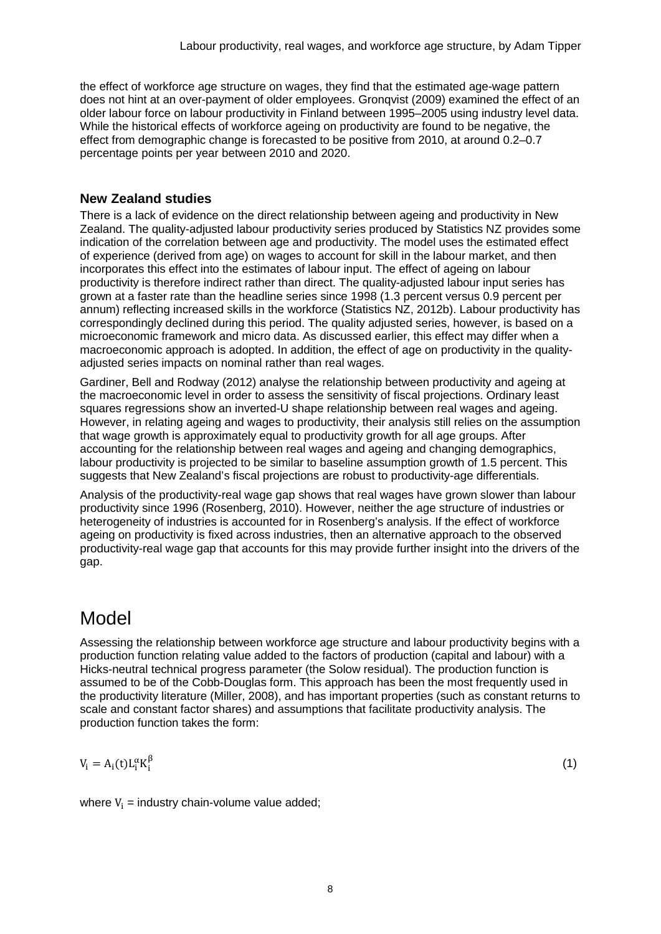the effect of workforce age structure on wages, they find that the estimated age-wage pattern does not hint at an over-payment of older employees. Gronqvist (2009) examined the effect of an older labour force on labour productivity in Finland between 1995–2005 using industry level data. While the historical effects of workforce ageing on productivity are found to be negative, the effect from demographic change is forecasted to be positive from 2010, at around 0.2–0.7 percentage points per year between 2010 and 2020.

### **New Zealand studies**

There is a lack of evidence on the direct relationship between ageing and productivity in New Zealand. The quality-adjusted labour productivity series produced by Statistics NZ provides some indication of the correlation between age and productivity. The model uses the estimated effect of experience (derived from age) on wages to account for skill in the labour market, and then incorporates this effect into the estimates of labour input. The effect of ageing on labour productivity is therefore indirect rather than direct. The quality-adjusted labour input series has grown at a faster rate than the headline series since 1998 (1.3 percent versus 0.9 percent per annum) reflecting increased skills in the workforce (Statistics NZ, 2012b). Labour productivity has correspondingly declined during this period. The quality adjusted series, however, is based on a microeconomic framework and micro data. As discussed earlier, this effect may differ when a macroeconomic approach is adopted. In addition, the effect of age on productivity in the qualityadjusted series impacts on nominal rather than real wages.

Gardiner, Bell and Rodway (2012) analyse the relationship between productivity and ageing at the macroeconomic level in order to assess the sensitivity of fiscal projections. Ordinary least squares regressions show an inverted-U shape relationship between real wages and ageing. However, in relating ageing and wages to productivity, their analysis still relies on the assumption that wage growth is approximately equal to productivity growth for all age groups. After accounting for the relationship between real wages and ageing and changing demographics, labour productivity is projected to be similar to baseline assumption growth of 1.5 percent. This suggests that New Zealand's fiscal projections are robust to productivity-age differentials.

Analysis of the productivity-real wage gap shows that real wages have grown slower than labour productivity since 1996 (Rosenberg, 2010). However, neither the age structure of industries or heterogeneity of industries is accounted for in Rosenberg's analysis. If the effect of workforce ageing on productivity is fixed across industries, then an alternative approach to the observed productivity-real wage gap that accounts for this may provide further insight into the drivers of the gap.

## Model

Assessing the relationship between workforce age structure and labour productivity begins with a production function relating value added to the factors of production (capital and labour) with a Hicks-neutral technical progress parameter (the Solow residual). The production function is assumed to be of the Cobb-Douglas form. This approach has been the most frequently used in the productivity literature (Miller, 2008), and has important properties (such as constant returns to scale and constant factor shares) and assumptions that facilitate productivity analysis. The production function takes the form:

$$
V_i = A_i(t)L_i^{\alpha}K_i^{\beta}
$$

 $β$  (1)

where  $V_i$  = industry chain-volume value added;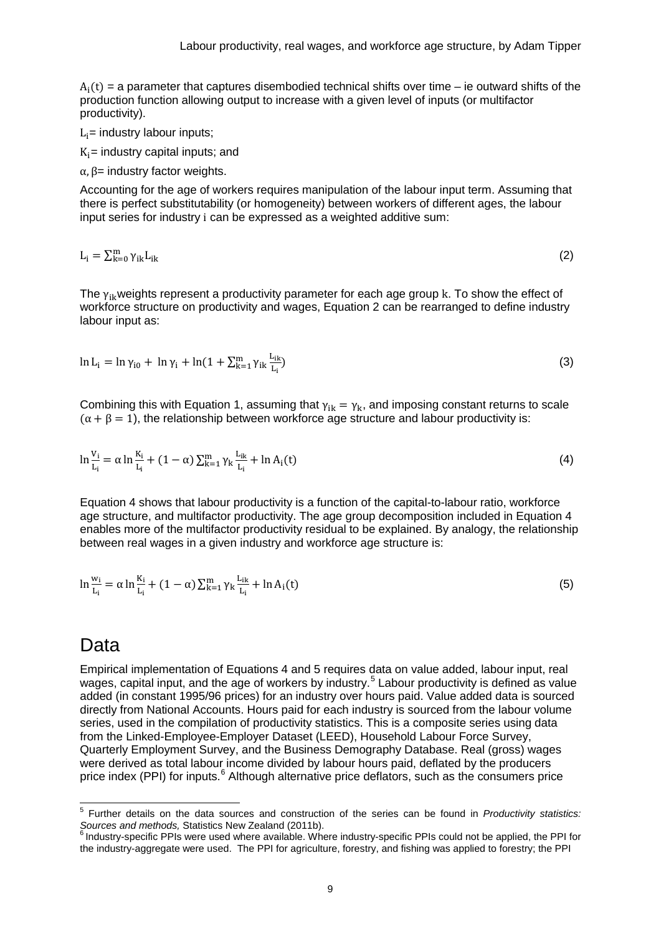$A_i(t)$  = a parameter that captures disembodied technical shifts over time – ie outward shifts of the production function allowing output to increase with a given level of inputs (or multifactor productivity).

 $L_i$ = industry labour inputs;

 $K_i$ = industry capital inputs; and

 $α, β=$  industry factor weights.

Accounting for the age of workers requires manipulation of the labour input term. Assuming that there is perfect substitutability (or homogeneity) between workers of different ages, the labour input series for industry i can be expressed as a weighted additive sum:

$$
L_i = \sum_{k=0}^{m} \gamma_{ik} L_{ik}
$$
 (2)

The  $\gamma_{ik}$  weights represent a productivity parameter for each age group k. To show the effect of workforce structure on productivity and wages, Equation 2 can be rearranged to define industry labour input as:

$$
\ln L_{i} = \ln \gamma_{i0} + \ln \gamma_{i} + \ln(1 + \sum_{k=1}^{m} \gamma_{ik} \frac{L_{ik}}{L_{i}})
$$
\n(3)

Combining this with Equation 1, assuming that  $\gamma_{ik} = \gamma_k$ , and imposing constant returns to scale  $(\alpha + \beta = 1)$ , the relationship between workforce age structure and labour productivity is:

$$
\ln \frac{v_i}{L_i} = \alpha \ln \frac{K_i}{L_i} + (1 - \alpha) \sum_{k=1}^{m} \gamma_k \frac{L_{ik}}{L_i} + \ln A_i(t)
$$
\n(4)

Equation 4 shows that labour productivity is a function of the capital-to-labour ratio, workforce age structure, and multifactor productivity. The age group decomposition included in Equation 4 enables more of the multifactor productivity residual to be explained. By analogy, the relationship between real wages in a given industry and workforce age structure is:

$$
\ln \frac{w_i}{L_i} = \alpha \ln \frac{K_i}{L_i} + (1 - \alpha) \sum_{k=1}^{m} \gamma_k \frac{L_{ik}}{L_i} + \ln A_i(t)
$$
\n(5)

### Data

Empirical implementation of Equations 4 and 5 requires data on value added, labour input, real wages, capital input, and the age of workers by industry.<sup>[5](#page-8-0)</sup> Labour productivity is defined as value added (in constant 1995/96 prices) for an industry over hours paid. Value added data is sourced directly from National Accounts. Hours paid for each industry is sourced from the labour volume series, used in the compilation of productivity statistics. This is a composite series using data from the Linked-Employee-Employer Dataset (LEED), Household Labour Force Survey, Quarterly Employment Survey, and the Business Demography Database. Real (gross) wages were derived as total labour income divided by labour hours paid, deflated by the producers price index (PPI) for inputs.<sup>[6](#page-8-1)</sup> Although alternative price deflators, such as the consumers price

<span id="page-8-0"></span> <sup>5</sup> Further details on the data sources and construction of the series can be found in *Productivity statistics: Sources and methods,* Statistics New Zealand (2011b).

<span id="page-8-1"></span> $6$  Industry-specific PPIs were used where available. Where industry-specific PPIs could not be applied, the PPI for the industry-aggregate were used. The PPI for agriculture, forestry, and fishing was applied to forestry; the PPI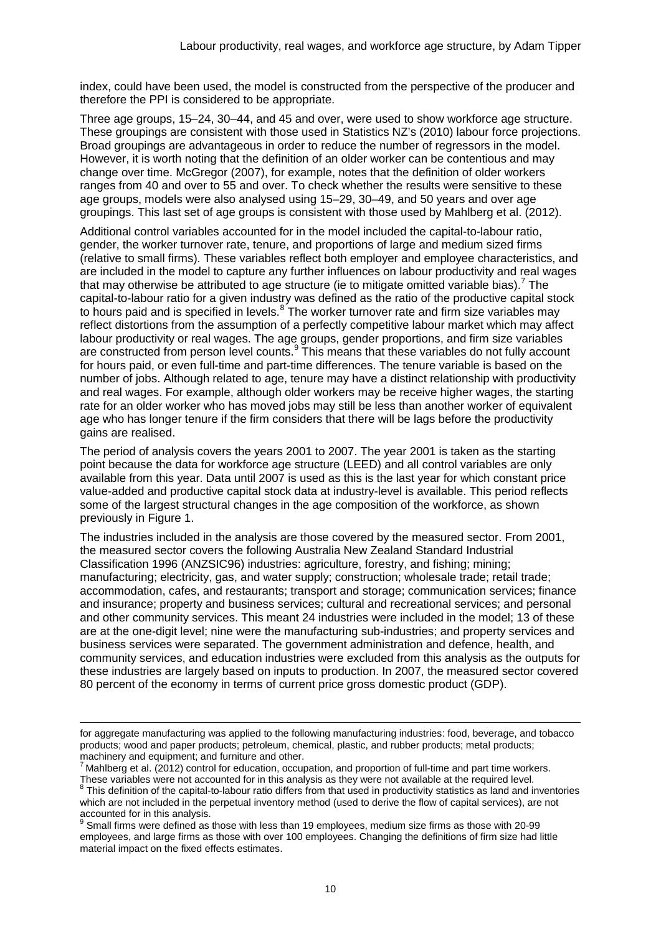index, could have been used, the model is constructed from the perspective of the producer and therefore the PPI is considered to be appropriate.

Three age groups, 15–24, 30–44, and 45 and over, were used to show workforce age structure. These groupings are consistent with those used in Statistics NZ's (2010) labour force projections. Broad groupings are advantageous in order to reduce the number of regressors in the model. However, it is worth noting that the definition of an older worker can be contentious and may change over time. McGregor (2007), for example, notes that the definition of older workers ranges from 40 and over to 55 and over. To check whether the results were sensitive to these age groups, models were also analysed using 15–29, 30–49, and 50 years and over age groupings. This last set of age groups is consistent with those used by Mahlberg et al. (2012).

Additional control variables accounted for in the model included the capital-to-labour ratio, gender, the worker turnover rate, tenure, and proportions of large and medium sized firms (relative to small firms). These variables reflect both employer and employee characteristics, and are included in the model to capture any further influences on labour productivity and real wages that may otherwise be attributed to age structure (ie to mitigate omitted variable bias).<sup>[7](#page-9-0)</sup> The capital-to-labour ratio for a given industry was defined as the ratio of the productive capital stock to hours paid and is specified in levels.<sup>[8](#page-9-1)</sup> The worker turnover rate and firm size variables may reflect distortions from the assumption of a perfectly competitive labour market which may affect labour productivity or real wages. The age groups, gender proportions, and firm size variables are constructed from person level counts.<sup>[9](#page-9-2)</sup> This means that these variables do not fully account for hours paid, or even full-time and part-time differences. The tenure variable is based on the number of jobs. Although related to age, tenure may have a distinct relationship with productivity and real wages. For example, although older workers may be receive higher wages, the starting rate for an older worker who has moved jobs may still be less than another worker of equivalent age who has longer tenure if the firm considers that there will be lags before the productivity gains are realised.

The period of analysis covers the years 2001 to 2007. The year 2001 is taken as the starting point because the data for workforce age structure (LEED) and all control variables are only available from this year. Data until 2007 is used as this is the last year for which constant price value-added and productive capital stock data at industry-level is available. This period reflects some of the largest structural changes in the age composition of the workforce, as shown previously in Figure 1.

The industries included in the analysis are those covered by the measured sector. From 2001, the measured sector covers the following Australia New Zealand Standard Industrial Classification 1996 (ANZSIC96) industries: agriculture, forestry, and fishing; mining; manufacturing; electricity, gas, and water supply; construction; wholesale trade; retail trade; accommodation, cafes, and restaurants; transport and storage; communication services; finance and insurance; property and business services; cultural and recreational services; and personal and other community services. This meant 24 industries were included in the model; 13 of these are at the one-digit level; nine were the manufacturing sub-industries; and property services and business services were separated. The government administration and defence, health, and community services, and education industries were excluded from this analysis as the outputs for these industries are largely based on inputs to production. In 2007, the measured sector covered 80 percent of the economy in terms of current price gross domestic product (GDP).

-

for aggregate manufacturing was applied to the following manufacturing industries: food, beverage, and tobacco products; wood and paper products; petroleum, chemical, plastic, and rubber products; metal products; machinery and equipment; and furniture and other.

<span id="page-9-0"></span> $^7$  Mahlberg et al. (2012) control for education, occupation, and proportion of full-time and part time workers. These variables were not accounted for in this analysis as they were not available at the required level.

<span id="page-9-1"></span><sup>&</sup>lt;sup>8</sup> This definition of the capital-to-labour ratio differs from that used in productivity statistics as land and inventories which are not included in the perpetual inventory method (used to derive the flow of capital services), are not accounted for in this analysis.

<span id="page-9-2"></span> $<sup>9</sup>$  Small firms were defined as those with less than 19 employees, medium size firms as those with 20-99</sup> employees, and large firms as those with over 100 employees. Changing the definitions of firm size had little material impact on the fixed effects estimates.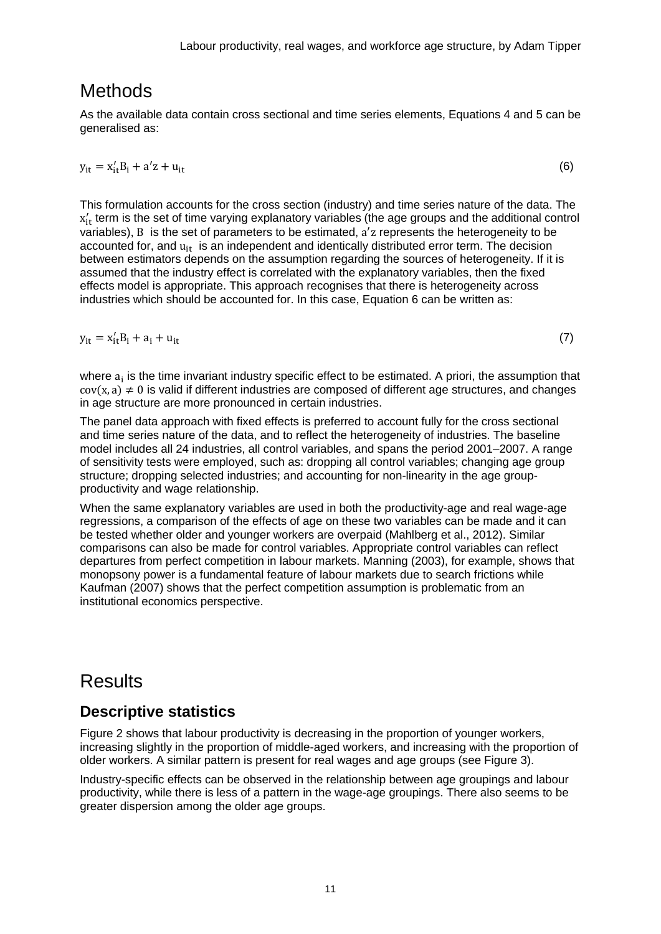## Methods

As the available data contain cross sectional and time series elements, Equations 4 and 5 can be generalised as:

$$
y_{it} = x'_{it}B_i + a'z + u_{it}
$$
 (6)

This formulation accounts for the cross section (industry) and time series nature of the data. The  $x'_{it}$  term is the set of time varying explanatory variables (the age groups and the additional control variables), B is the set of parameters to be estimated, a′ z represents the heterogeneity to be accounted for, and  $u_{it}$  is an independent and identically distributed error term. The decision between estimators depends on the assumption regarding the sources of heterogeneity. If it is assumed that the industry effect is correlated with the explanatory variables, then the fixed effects model is appropriate. This approach recognises that there is heterogeneity across industries which should be accounted for. In this case, Equation 6 can be written as:

 $y_{it} = x'_{it} B_i + a_i + u_{it}$  (7)

where  $a_i$  is the time invariant industry specific effect to be estimated. A priori, the assumption that  $cov(x, a) \neq 0$  is valid if different industries are composed of different age structures, and changes

The panel data approach with fixed effects is preferred to account fully for the cross sectional and time series nature of the data, and to reflect the heterogeneity of industries. The baseline model includes all 24 industries, all control variables, and spans the period 2001–2007. A range of sensitivity tests were employed, such as: dropping all control variables; changing age group structure; dropping selected industries; and accounting for non-linearity in the age groupproductivity and wage relationship.

in age structure are more pronounced in certain industries.

When the same explanatory variables are used in both the productivity-age and real wage-age regressions, a comparison of the effects of age on these two variables can be made and it can be tested whether older and younger workers are overpaid (Mahlberg et al., 2012). Similar comparisons can also be made for control variables. Appropriate control variables can reflect departures from perfect competition in labour markets. Manning (2003), for example, shows that monopsony power is a fundamental feature of labour markets due to search frictions while Kaufman (2007) shows that the perfect competition assumption is problematic from an institutional economics perspective.

## **Results**

### **Descriptive statistics**

Figure 2 shows that labour productivity is decreasing in the proportion of younger workers, increasing slightly in the proportion of middle-aged workers, and increasing with the proportion of older workers. A similar pattern is present for real wages and age groups (see Figure 3).

Industry-specific effects can be observed in the relationship between age groupings and labour productivity, while there is less of a pattern in the wage-age groupings. There also seems to be greater dispersion among the older age groups.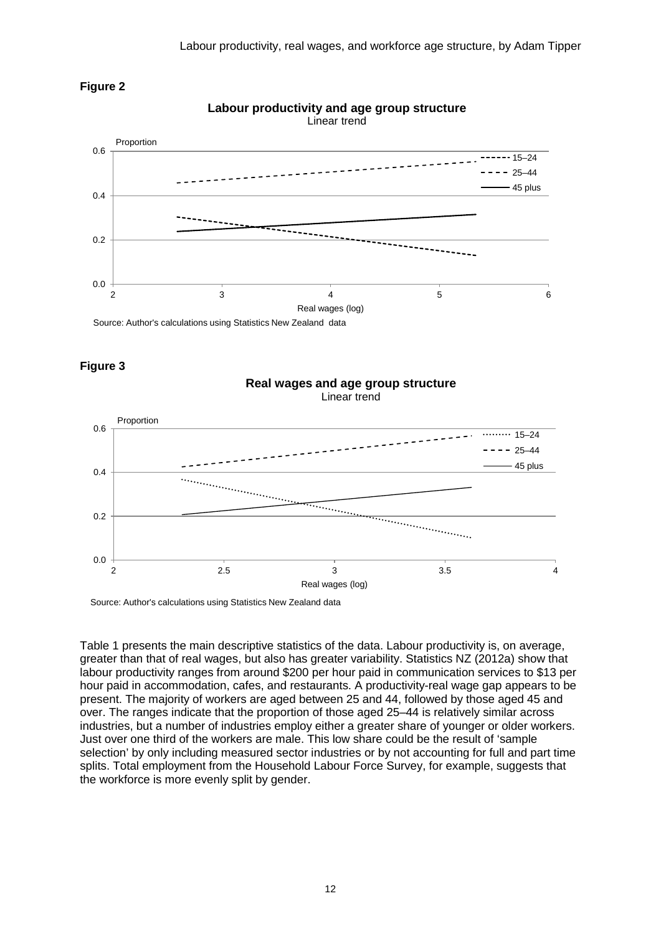



#### **Labour productivity and age group structure** Linear trend

**Figure 3**

#### Linear trend Proportion 0.6  $\cdots$  15–24  $- - - 25 - 44$ 45 plus 0.4  $\begin{tabular}{|c|c|c|} \hline \quad \quad & \quad \quad & \quad \quad \\ \hline \quad \quad & \quad \quad & \quad \quad \\ \hline \quad \quad & \quad \quad & \quad \quad \\ \hline \quad \quad & \quad \quad & \quad \quad \\ \hline \quad \quad & \quad \quad & \quad \quad \\ \hline \quad \quad & \quad \quad & \quad \quad \\ \hline \end{tabular}$ 0.2 0.0 2 2.5 3 3.5 4 Real wages (log)

**Real wages and age group structure**

Source: Author's calculations using Statistics New Zealand data

Table 1 presents the main descriptive statistics of the data. Labour productivity is, on average, greater than that of real wages, but also has greater variability. Statistics NZ (2012a) show that labour productivity ranges from around \$200 per hour paid in communication services to \$13 per hour paid in accommodation, cafes, and restaurants. A productivity-real wage gap appears to be present. The majority of workers are aged between 25 and 44, followed by those aged 45 and over. The ranges indicate that the proportion of those aged 25–44 is relatively similar across industries, but a number of industries employ either a greater share of younger or older workers. Just over one third of the workers are male. This low share could be the result of 'sample selection' by only including measured sector industries or by not accounting for full and part time splits. Total employment from the Household Labour Force Survey, for example, suggests that the workforce is more evenly split by gender.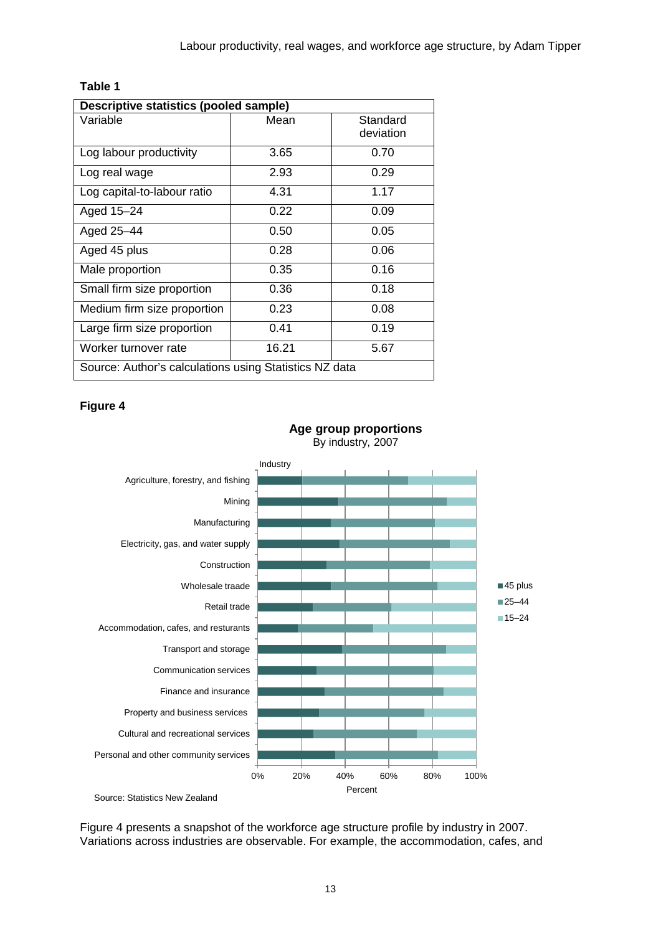#### **Table 1**

| <b>Descriptive statistics (pooled sample)</b>          |       |                       |  |  |  |
|--------------------------------------------------------|-------|-----------------------|--|--|--|
| Variable                                               | Mean  | Standard<br>deviation |  |  |  |
| Log labour productivity                                | 3.65  | 0.70                  |  |  |  |
| Log real wage                                          | 2.93  | 0.29                  |  |  |  |
| Log capital-to-labour ratio                            | 4.31  | 1.17                  |  |  |  |
| Aged 15-24                                             | 0.22  | 0.09                  |  |  |  |
| Aged 25-44                                             | 0.50  | 0.05                  |  |  |  |
| Aged 45 plus                                           | 0.28  | 0.06                  |  |  |  |
| Male proportion                                        | 0.35  | 0.16                  |  |  |  |
| Small firm size proportion                             | 0.36  | 0.18                  |  |  |  |
| Medium firm size proportion                            | 0.23  | 0.08                  |  |  |  |
| Large firm size proportion                             | 0.41  | 0.19                  |  |  |  |
| Worker turnover rate                                   | 16.21 | 5.67                  |  |  |  |
| Source: Author's calculations using Statistics NZ data |       |                       |  |  |  |

#### **Figure 4**



**Age group proportions** By industry, 2007

Figure 4 presents a snapshot of the workforce age structure profile by industry in 2007. Variations across industries are observable. For example, the accommodation, cafes, and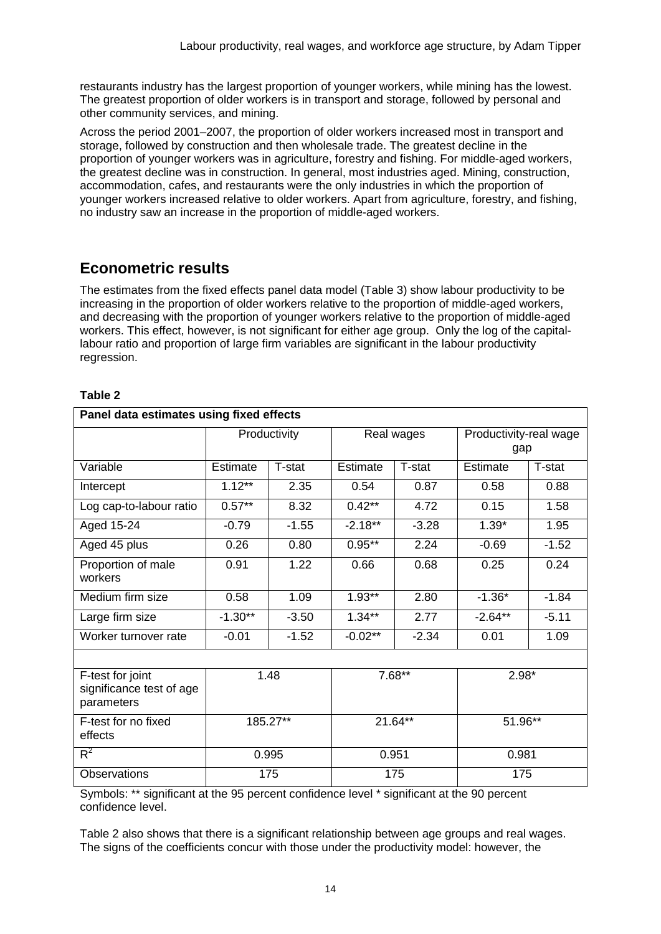restaurants industry has the largest proportion of younger workers, while mining has the lowest. The greatest proportion of older workers is in transport and storage, followed by personal and other community services, and mining.

Across the period 2001–2007, the proportion of older workers increased most in transport and storage, followed by construction and then wholesale trade. The greatest decline in the proportion of younger workers was in agriculture, forestry and fishing. For middle-aged workers, the greatest decline was in construction. In general, most industries aged. Mining, construction, accommodation, cafes, and restaurants were the only industries in which the proportion of younger workers increased relative to older workers. Apart from agriculture, forestry, and fishing, no industry saw an increase in the proportion of middle-aged workers.

### **Econometric results**

The estimates from the fixed effects panel data model (Table 3) show labour productivity to be increasing in the proportion of older workers relative to the proportion of middle-aged workers, and decreasing with the proportion of younger workers relative to the proportion of middle-aged workers. This effect, however, is not significant for either age group. Only the log of the capitallabour ratio and proportion of large firm variables are significant in the labour productivity regression.

| abl<br>r. |  |
|-----------|--|
|           |  |

| Panel data estimates using fixed effects                   |           |              |            |         |                               |         |  |  |
|------------------------------------------------------------|-----------|--------------|------------|---------|-------------------------------|---------|--|--|
|                                                            |           | Productivity | Real wages |         | Productivity-real wage<br>gap |         |  |  |
| Variable                                                   | Estimate  | T-stat       | Estimate   | T-stat  | Estimate                      | T-stat  |  |  |
| Intercept                                                  | $1.12***$ | 2.35         | 0.54       | 0.87    | 0.58                          | 0.88    |  |  |
| Log cap-to-labour ratio                                    | $0.57***$ | 8.32         | $0.42***$  | 4.72    | 0.15                          | 1.58    |  |  |
| Aged 15-24                                                 | $-0.79$   | $-1.55$      | $-2.18**$  | $-3.28$ | $1.39*$                       | 1.95    |  |  |
| Aged 45 plus                                               | 0.26      | 0.80         | $0.95***$  | 2.24    | $-0.69$                       | $-1.52$ |  |  |
| Proportion of male<br>workers                              | 0.91      | 1.22         | 0.66       | 0.68    | 0.25                          | 0.24    |  |  |
| Medium firm size                                           | 0.58      | 1.09         | $1.93**$   | 2.80    | $-1.36*$                      | $-1.84$ |  |  |
| Large firm size                                            | $-1.30**$ | $-3.50$      | $1.34***$  | 2.77    | $-2.64**$                     | $-5.11$ |  |  |
| Worker turnover rate                                       | $-0.01$   | $-1.52$      | $-0.02**$  | $-2.34$ | 0.01                          | 1.09    |  |  |
|                                                            |           |              |            |         |                               |         |  |  |
| F-test for joint<br>significance test of age<br>parameters | 1.48      |              | $7.68**$   |         | $2.98*$                       |         |  |  |
| F-test for no fixed<br>effects                             | 185.27**  |              | $21.64***$ |         | 51.96**                       |         |  |  |
| $R^2$                                                      |           | 0.995        |            | 0.951   |                               | 0.981   |  |  |
| Observations                                               | 175       |              | 175        |         | 175                           |         |  |  |

Symbols: \*\* significant at the 95 percent confidence level \* significant at the 90 percent confidence level.

Table 2 also shows that there is a significant relationship between age groups and real wages. The signs of the coefficients concur with those under the productivity model: however, the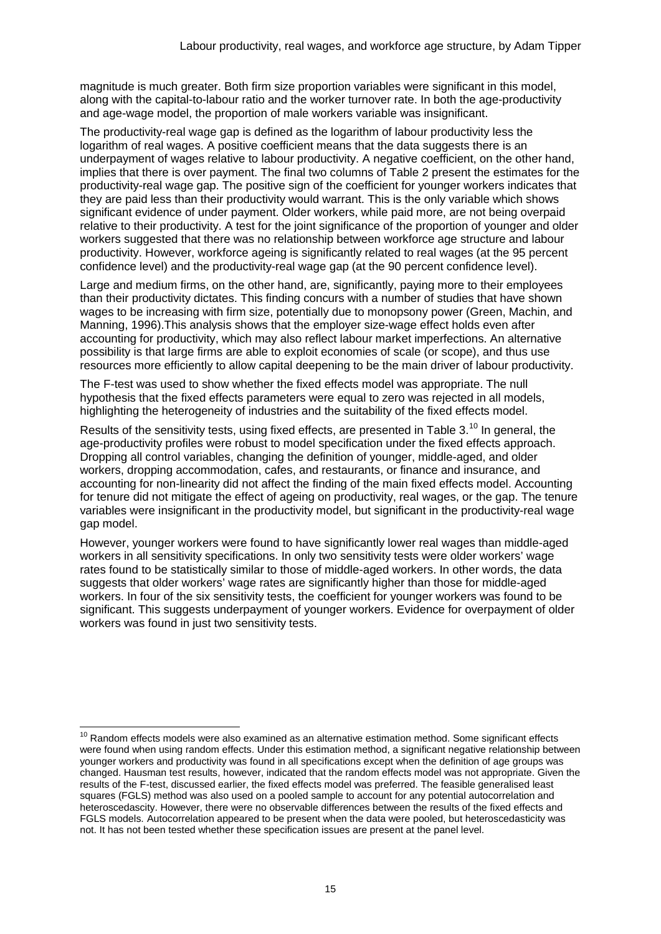magnitude is much greater. Both firm size proportion variables were significant in this model, along with the capital-to-labour ratio and the worker turnover rate. In both the age-productivity and age-wage model, the proportion of male workers variable was insignificant.

The productivity-real wage gap is defined as the logarithm of labour productivity less the logarithm of real wages. A positive coefficient means that the data suggests there is an underpayment of wages relative to labour productivity. A negative coefficient, on the other hand, implies that there is over payment. The final two columns of Table 2 present the estimates for the productivity-real wage gap. The positive sign of the coefficient for younger workers indicates that they are paid less than their productivity would warrant. This is the only variable which shows significant evidence of under payment. Older workers, while paid more, are not being overpaid relative to their productivity. A test for the joint significance of the proportion of younger and older workers suggested that there was no relationship between workforce age structure and labour productivity. However, workforce ageing is significantly related to real wages (at the 95 percent confidence level) and the productivity-real wage gap (at the 90 percent confidence level).

Large and medium firms, on the other hand, are, significantly, paying more to their employees than their productivity dictates. This finding concurs with a number of studies that have shown wages to be increasing with firm size, potentially due to monopsony power (Green, Machin, and Manning, 1996).This analysis shows that the employer size-wage effect holds even after accounting for productivity, which may also reflect labour market imperfections. An alternative possibility is that large firms are able to exploit economies of scale (or scope), and thus use resources more efficiently to allow capital deepening to be the main driver of labour productivity.

The F-test was used to show whether the fixed effects model was appropriate. The null hypothesis that the fixed effects parameters were equal to zero was rejected in all models, highlighting the heterogeneity of industries and the suitability of the fixed effects model.

Results of the sensitivity tests, using fixed effects, are presented in Table 3.<sup>[10](#page-14-0)</sup> In general, the age-productivity profiles were robust to model specification under the fixed effects approach. Dropping all control variables, changing the definition of younger, middle-aged, and older workers, dropping accommodation, cafes, and restaurants, or finance and insurance, and accounting for non-linearity did not affect the finding of the main fixed effects model. Accounting for tenure did not mitigate the effect of ageing on productivity, real wages, or the gap. The tenure variables were insignificant in the productivity model, but significant in the productivity-real wage gap model.

However, younger workers were found to have significantly lower real wages than middle-aged workers in all sensitivity specifications. In only two sensitivity tests were older workers' wage rates found to be statistically similar to those of middle-aged workers. In other words, the data suggests that older workers' wage rates are significantly higher than those for middle-aged workers. In four of the six sensitivity tests, the coefficient for younger workers was found to be significant. This suggests underpayment of younger workers. Evidence for overpayment of older workers was found in just two sensitivity tests.

<span id="page-14-0"></span> $10$  Random effects models were also examined as an alternative estimation method. Some significant effects were found when using random effects. Under this estimation method, a significant negative relationship between younger workers and productivity was found in all specifications except when the definition of age groups was changed. Hausman test results, however, indicated that the random effects model was not appropriate. Given the results of the F-test, discussed earlier, the fixed effects model was preferred. The feasible generalised least squares (FGLS) method was also used on a pooled sample to account for any potential autocorrelation and heteroscedascity. However, there were no observable differences between the results of the fixed effects and FGLS models. Autocorrelation appeared to be present when the data were pooled, but heteroscedasticity was not. It has not been tested whether these specification issues are present at the panel level.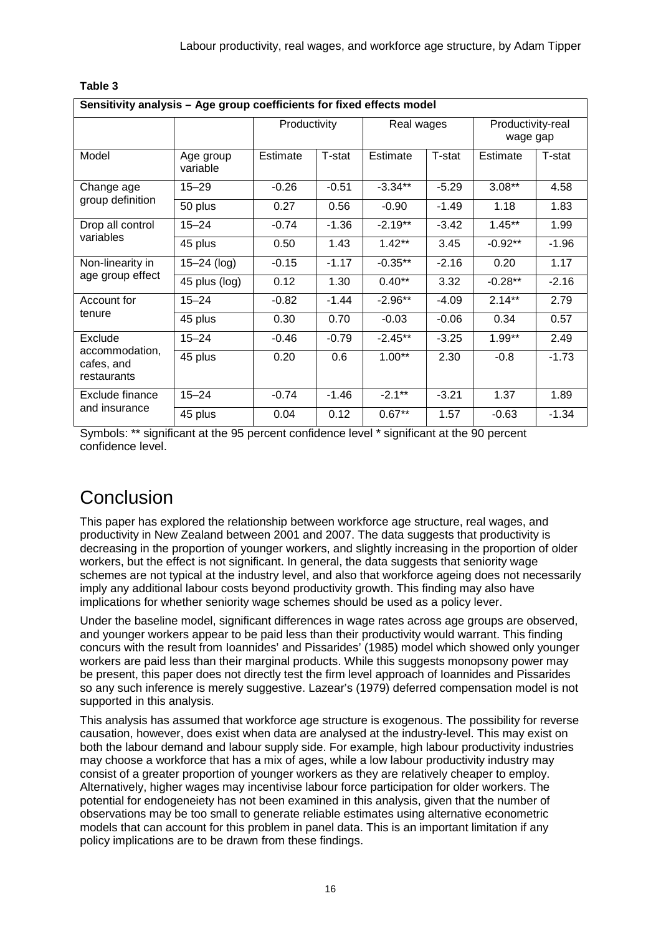| Sensitivity analysis - Age group coefficients for fixed effects model |                       |              |         |            |         |                               |         |
|-----------------------------------------------------------------------|-----------------------|--------------|---------|------------|---------|-------------------------------|---------|
|                                                                       |                       | Productivity |         | Real wages |         | Productivity-real<br>wage gap |         |
| Model                                                                 | Age group<br>variable | Estimate     | T-stat  | Estimate   | T-stat  | Estimate                      | T-stat  |
| Change age<br>group definition                                        | $15 - 29$             | $-0.26$      | $-0.51$ | $-3.34**$  | $-5.29$ | $3.08**$                      | 4.58    |
|                                                                       | 50 plus               | 0.27         | 0.56    | $-0.90$    | $-1.49$ | 1.18                          | 1.83    |
| Drop all control<br>variables                                         | $15 - 24$             | $-0.74$      | $-1.36$ | $-2.19**$  | $-3.42$ | $1.45***$                     | 1.99    |
|                                                                       | 45 plus               | 0.50         | 1.43    | $1.42**$   | 3.45    | $-0.92**$                     | $-1.96$ |
| Non-linearity in<br>age group effect                                  | $15 - 24$ (log)       | $-0.15$      | $-1.17$ | $-0.35**$  | $-2.16$ | 0.20                          | 1.17    |
|                                                                       | 45 plus (log)         | 0.12         | 1.30    | $0.40**$   | 3.32    | $-0.28**$                     | $-2.16$ |
| Account for<br>tenure                                                 | $15 - 24$             | $-0.82$      | $-1.44$ | $-2.96**$  | $-4.09$ | $2.14***$                     | 2.79    |
|                                                                       | 45 plus               | 0.30         | 0.70    | $-0.03$    | $-0.06$ | 0.34                          | 0.57    |
| Exclude<br>accommodation,<br>cafes, and<br>restaurants                | $15 - 24$             | $-0.46$      | $-0.79$ | $-2.45**$  | $-3.25$ | $1.99**$                      | 2.49    |
|                                                                       | 45 plus               | 0.20         | 0.6     | $1.00**$   | 2.30    | $-0.8$                        | $-1.73$ |
| Exclude finance<br>and insurance                                      | $15 - 24$             | $-0.74$      | $-1.46$ | $-2.1***$  | $-3.21$ | 1.37                          | 1.89    |
|                                                                       | 45 plus               | 0.04         | 0.12    | $0.67**$   | 1.57    | $-0.63$                       | $-1.34$ |

#### **Table 3**

Symbols: \*\* significant at the 95 percent confidence level \* significant at the 90 percent confidence level.

# Conclusion

This paper has explored the relationship between workforce age structure, real wages, and productivity in New Zealand between 2001 and 2007. The data suggests that productivity is decreasing in the proportion of younger workers, and slightly increasing in the proportion of older workers, but the effect is not significant. In general, the data suggests that seniority wage schemes are not typical at the industry level, and also that workforce ageing does not necessarily imply any additional labour costs beyond productivity growth. This finding may also have implications for whether seniority wage schemes should be used as a policy lever.

Under the baseline model, significant differences in wage rates across age groups are observed, and younger workers appear to be paid less than their productivity would warrant. This finding concurs with the result from Ioannides' and Pissarides' (1985) model which showed only younger workers are paid less than their marginal products. While this suggests monopsony power may be present, this paper does not directly test the firm level approach of Ioannides and Pissarides so any such inference is merely suggestive. Lazear's (1979) deferred compensation model is not supported in this analysis.

This analysis has assumed that workforce age structure is exogenous. The possibility for reverse causation, however, does exist when data are analysed at the industry-level. This may exist on both the labour demand and labour supply side. For example, high labour productivity industries may choose a workforce that has a mix of ages, while a low labour productivity industry may consist of a greater proportion of younger workers as they are relatively cheaper to employ. Alternatively, higher wages may incentivise labour force participation for older workers. The potential for endogeneiety has not been examined in this analysis, given that the number of observations may be too small to generate reliable estimates using alternative econometric models that can account for this problem in panel data. This is an important limitation if any policy implications are to be drawn from these findings.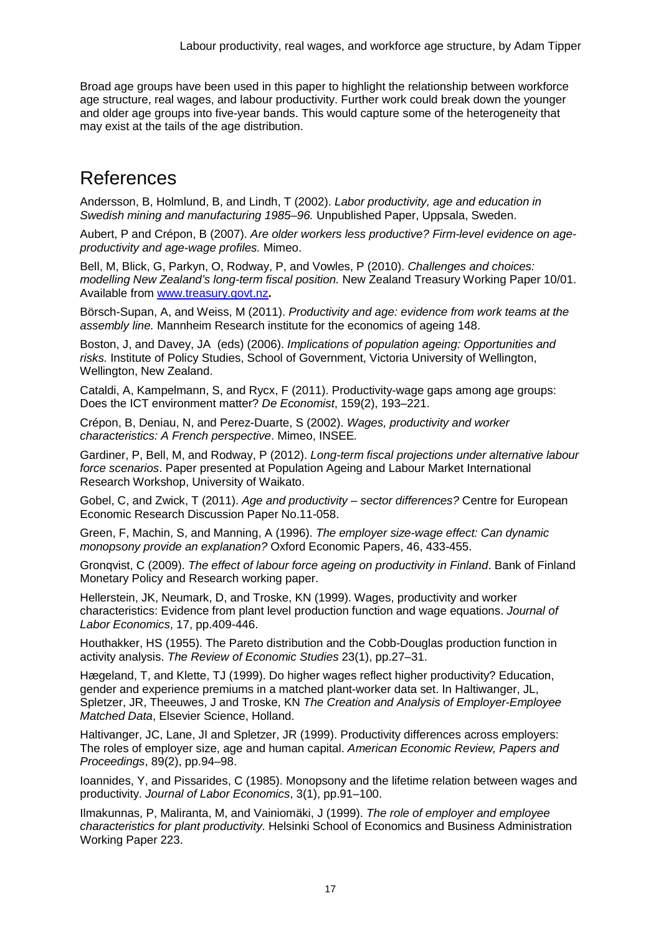Broad age groups have been used in this paper to highlight the relationship between workforce age structure, real wages, and labour productivity. Further work could break down the younger and older age groups into five-year bands. This would capture some of the heterogeneity that may exist at the tails of the age distribution.

## References

Andersson, B, Holmlund, B, and Lindh, T (2002). *Labor productivity, age and education in Swedish mining and manufacturing 1985–96.* Unpublished Paper, Uppsala, Sweden.

Aubert, P and Crépon, B (2007). *Are older workers less productive? Firm-level evidence on ageproductivity and age-wage profiles.* Mimeo.

Bell, M, Blick, G, Parkyn, O, Rodway, P, and Vowles, P (2010). *Challenges and choices: modelling New Zealand's long-term fiscal position.* New Zealand Treasury Working Paper 10/01. Available from [www.treasury.govt.nz](http://www.treasury.govt.nz/publications/research-policy/wp/2010/10-01/twp10-01.pdf)**.**

Börsch-Supan, A, and Weiss, M (2011). *Productivity and age: evidence from work teams at the assembly line.* Mannheim Research institute for the economics of ageing 148.

Boston, J, and Davey, JA (eds) (2006). *Implications of population ageing: Opportunities and risks.* Institute of Policy Studies, School of Government, Victoria University of Wellington, Wellington, New Zealand.

Cataldi, A, Kampelmann, S, and Rycx, F (2011). Productivity-wage gaps among age groups: Does the ICT environment matter? *De Economist*, 159(2), 193–221.

Crépon, B, Deniau, N, and Perez-Duarte, S (2002). *Wages, productivity and worker characteristics: A French perspective*. Mimeo, INSEE*.*

Gardiner, P, Bell, M, and Rodway, P (2012). *Long-term fiscal projections under alternative labour force scenarios*. Paper presented at Population Ageing and Labour Market International Research Workshop, University of Waikato.

Gobel, C, and Zwick, T (2011). *Age and productivity – sector differences?* Centre for European Economic Research Discussion Paper No.11-058.

Green, F, Machin, S, and Manning, A (1996). *The employer size-wage effect: Can dynamic monopsony provide an explanation?* Oxford Economic Papers, 46, 433-455.

Gronqvist, C (2009). *The effect of labour force ageing on productivity in Finland*. Bank of Finland Monetary Policy and Research working paper.

Hellerstein, JK, Neumark, D, and Troske, KN (1999). Wages, productivity and worker characteristics: Evidence from plant level production function and wage equations. *Journal of Labor Economics*, 17, pp.409-446.

Houthakker, HS (1955). The Pareto distribution and the Cobb-Douglas production function in activity analysis. *The Review of Economic Studies* 23(1), pp.27–31.

Hægeland, T, and Klette, TJ (1999). Do higher wages reflect higher productivity? Education, gender and experience premiums in a matched plant-worker data set. In Haltiwanger, JL, Spletzer, JR, Theeuwes, J and Troske, KN *The Creation and Analysis of Employer-Employee Matched Data*, Elsevier Science, Holland.

Haltivanger, JC, Lane, JI and Spletzer, JR (1999). Productivity differences across employers: The roles of employer size, age and human capital. *American Economic Review, Papers and Proceedings*, 89(2), pp.94–98.

Ioannides, Y, and Pissarides, C (1985). Monopsony and the lifetime relation between wages and productivity. *Journal of Labor Economics*, 3(1), pp.91–100.

Ilmakunnas, P, Maliranta, M, and Vainiomäki, J (1999). *The role of employer and employee characteristics for plant productivity.* Helsinki School of Economics and Business Administration Working Paper 223.